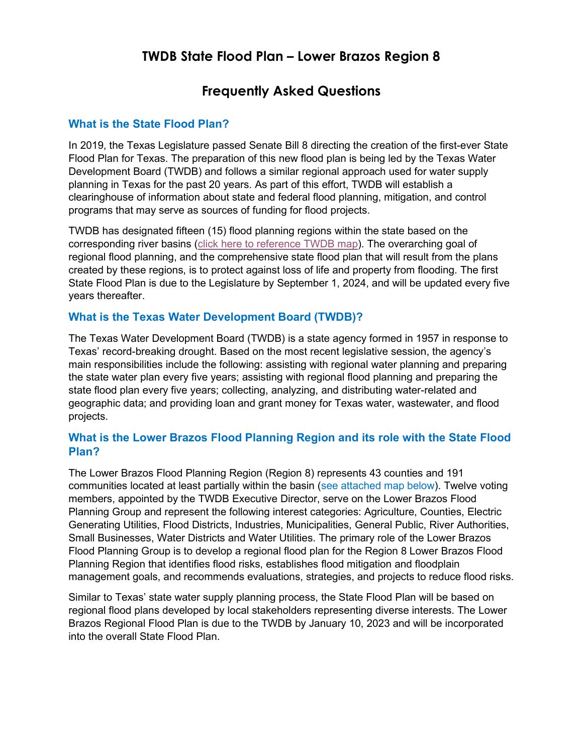# **TWDB State Flood Plan – Lower Brazos Region 8**

# **Frequently Asked Questions**

#### **What is the State Flood Plan?**

In 2019, the Texas Legislature passed Senate Bill 8 directing the creation of the first-ever State Flood Plan for Texas. The preparation of this new flood plan is being led by the Texas Water Development Board (TWDB) and follows a similar regional approach used for water supply planning in Texas for the past 20 years. As part of this effort, TWDB will establish a clearinghouse of information about state and federal flood planning, mitigation, and control programs that may serve as sources of funding for flood projects.

TWDB has designated fifteen (15) flood planning regions within the state based on the corresponding river basins [\(click here to reference TWDB map\)](https://www.twdb.texas.gov/flood/planning/doc/small_region_map.pdf?d=4647226.5). The overarching goal of regional flood planning, and the comprehensive state flood plan that will result from the plans created by these regions, is to protect against loss of life and property from flooding. The first State Flood Plan is due to the Legislature by September 1, 2024, and will be updated every five years thereafter.

## **What is the Texas Water Development Board (TWDB)?**

The Texas Water Development Board (TWDB) is a state agency formed in 1957 in response to Texas' record-breaking drought. Based on the most recent legislative session, the agency's main responsibilities include the following: assisting with regional water planning and preparing the state water plan every five years; assisting with regional flood planning and preparing the state flood plan every five years; collecting, analyzing, and distributing water-related and geographic data; and providing loan and grant money for Texas water, wastewater, and flood projects.

## **What is the Lower Brazos Flood Planning Region and its role with the State Flood Plan?**

The Lower Brazos Flood Planning Region (Region 8) represents 43 counties and 191 communities located at least partially within the basin (see [attached map](#page-3-0) below). Twelve voting members, appointed by the TWDB Executive Director, serve on the Lower Brazos Flood Planning Group and represent the following interest categories: Agriculture, Counties, Electric Generating Utilities, Flood Districts, Industries, Municipalities, General Public, River Authorities, Small Businesses, Water Districts and Water Utilities. The primary role of the Lower Brazos Flood Planning Group is to develop a regional flood plan for the Region 8 Lower Brazos Flood Planning Region that identifies flood risks, establishes flood mitigation and floodplain management goals, and recommends evaluations, strategies, and projects to reduce flood risks.

Similar to Texas' state water supply planning process, the State Flood Plan will be based on regional flood plans developed by local stakeholders representing diverse interests. The Lower Brazos Regional Flood Plan is due to the TWDB by January 10, 2023 and will be incorporated into the overall State Flood Plan.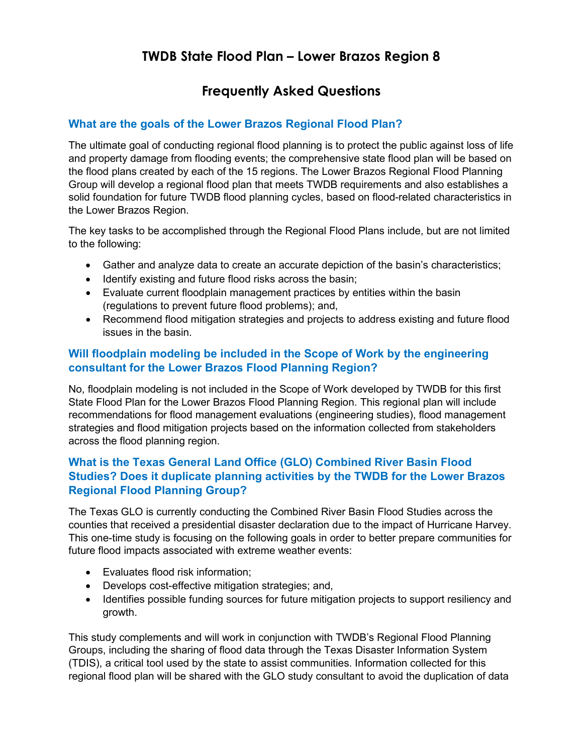# **TWDB State Flood Plan – Lower Brazos Region 8**

# **Frequently Asked Questions**

## **What are the goals of the Lower Brazos Regional Flood Plan?**

The ultimate goal of conducting regional flood planning is to protect the public against loss of life and property damage from flooding events; the comprehensive state flood plan will be based on the flood plans created by each of the 15 regions. The Lower Brazos Regional Flood Planning Group will develop a regional flood plan that meets TWDB requirements and also establishes a solid foundation for future TWDB flood planning cycles, based on flood-related characteristics in the Lower Brazos Region.

The key tasks to be accomplished through the Regional Flood Plans include, but are not limited to the following:

- Gather and analyze data to create an accurate depiction of the basin's characteristics;
- Identify existing and future flood risks across the basin;
- Evaluate current floodplain management practices by entities within the basin (regulations to prevent future flood problems); and,
- Recommend flood mitigation strategies and projects to address existing and future flood issues in the basin.

## **Will floodplain modeling be included in the Scope of Work by the engineering consultant for the Lower Brazos Flood Planning Region?**

No, floodplain modeling is not included in the Scope of Work developed by TWDB for this first State Flood Plan for the Lower Brazos Flood Planning Region. This regional plan will include recommendations for flood management evaluations (engineering studies), flood management strategies and flood mitigation projects based on the information collected from stakeholders across the flood planning region.

# **What is the Texas General Land Office (GLO) Combined River Basin Flood Studies? Does it duplicate planning activities by the TWDB for the Lower Brazos Regional Flood Planning Group?**

The Texas GLO is currently conducting the Combined River Basin Flood Studies across the counties that received a presidential disaster declaration due to the impact of Hurricane Harvey. This one-time study is focusing on the following goals in order to better prepare communities for future flood impacts associated with extreme weather events:

- Evaluates flood risk information;
- Develops cost-effective mitigation strategies; and,
- Identifies possible funding sources for future mitigation projects to support resiliency and growth.

This study complements and will work in conjunction with TWDB's Regional Flood Planning Groups, including the sharing of flood data through the Texas Disaster Information System (TDIS), a critical tool used by the state to assist communities. Information collected for this regional flood plan will be shared with the GLO study consultant to avoid the duplication of data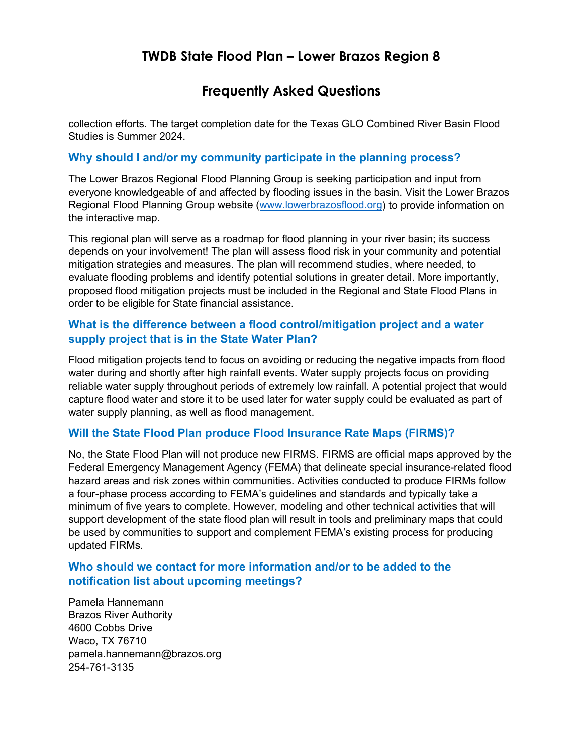# **TWDB State Flood Plan – Lower Brazos Region 8**

# **Frequently Asked Questions**

collection efforts. The target completion date for the Texas GLO Combined River Basin Flood Studies is Summer 2024.

#### **Why should I and/or my community participate in the planning process?**

The Lower Brazos Regional Flood Planning Group is seeking participation and input from everyone knowledgeable of and affected by flooding issues in the basin. Visit the Lower Brazos Regional Flood Planning Group website [\(www.lowerbrazosflood.org\)](http://www.lowerbrazosflood.org/) to provide information on the interactive map.

This regional plan will serve as a roadmap for flood planning in your river basin; its success depends on your involvement! The plan will assess flood risk in your community and potential mitigation strategies and measures. The plan will recommend studies, where needed, to evaluate flooding problems and identify potential solutions in greater detail. More importantly, proposed flood mitigation projects must be included in the Regional and State Flood Plans in order to be eligible for State financial assistance.

## **What is the difference between a flood control/mitigation project and a water supply project that is in the State Water Plan?**

Flood mitigation projects tend to focus on avoiding or reducing the negative impacts from flood water during and shortly after high rainfall events. Water supply projects focus on providing reliable water supply throughout periods of extremely low rainfall. A potential project that would capture flood water and store it to be used later for water supply could be evaluated as part of water supply planning, as well as flood management.

#### **Will the State Flood Plan produce Flood Insurance Rate Maps (FIRMS)?**

No, the State Flood Plan will not produce new FIRMS. FIRMS are official maps approved by the Federal Emergency Management Agency (FEMA) that delineate special insurance-related flood hazard areas and risk zones within communities. Activities conducted to produce FIRMs follow a four-phase process according to FEMA's guidelines and standards and typically take a minimum of five years to complete. However, modeling and other technical activities that will support development of the state flood plan will result in tools and preliminary maps that could be used by communities to support and complement FEMA's existing process for producing updated FIRMs.

## **Who should we contact for more information and/or to be added to the notification list about upcoming meetings?**

Pamela Hannemann Brazos River Authority 4600 Cobbs Drive Waco, TX 76710 pamela.hannemann@brazos.org 254-761-3135